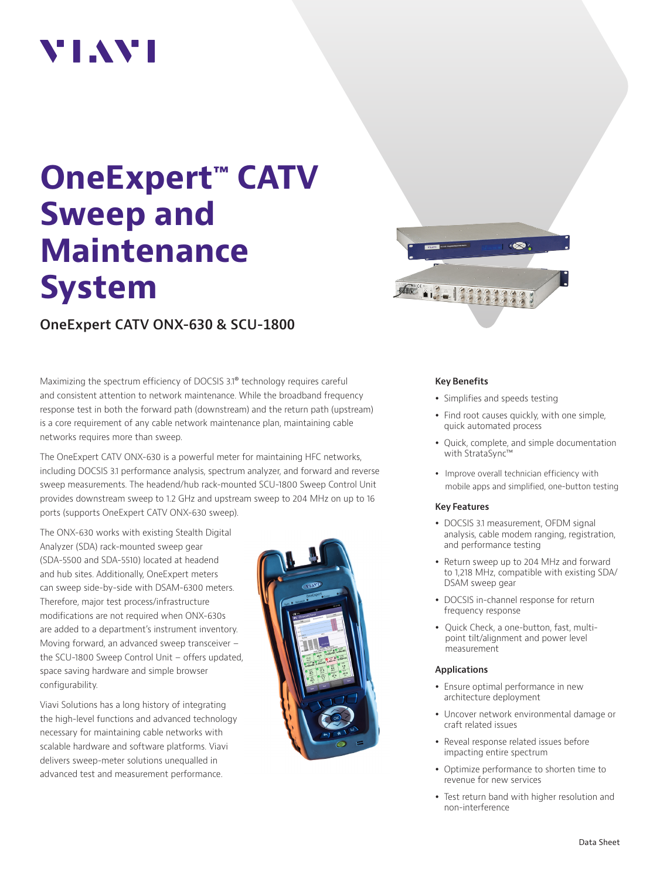# VI.WI

# **OneExpert™ CATV Sweep and Maintenance System**

**OneExpert CATV ONX-630 & SCU-1800** 

Maximizing the spectrum efficiency of DOCSIS 3.1® technology requires careful and consistent attention to network maintenance. While the broadband frequency response test in both the forward path (downstream) and the return path (upstream) is a core requirement of any cable network maintenance plan, maintaining cable networks requires more than sweep.

The OneExpert CATV ONX-630 is a powerful meter for maintaining HFC networks, including DOCSIS 3.1 performance analysis, spectrum analyzer, and forward and reverse sweep measurements. The headend/hub rack-mounted SCU-1800 Sweep Control Unit provides downstream sweep to 1.2 GHz and upstream sweep to 204 MHz on up to 16 ports (supports OneExpert CATV ONX-630 sweep).

The ONX-630 works with existing Stealth Digital Analyzer (SDA) rack-mounted sweep gear (SDA-5500 and SDA-5510) located at headend and hub sites. Additionally, OneExpert meters can sweep side-by-side with DSAM-6300 meters. Therefore, major test process/infrastructure modifications are not required when ONX-630s are added to a department's instrument inventory. Moving forward, an advanced sweep transceiver – the SCU-1800 Sweep Control Unit – offers updated, space saving hardware and simple browser configurability.

Viavi Solutions has a long history of integrating the high-level functions and advanced technology necessary for maintaining cable networks with scalable hardware and software platforms. Viavi delivers sweep-meter solutions unequalled in advanced test and measurement performance.





#### **Key Benefits**

- Simplifies and speeds testing
- Find root causes quickly, with one simple, quick automated process
- Quick, complete, and simple documentation with StrataSync™
- Improve overall technician efficiency with mobile apps and simplified, one-button testing

#### **Key Features**

- DOCSIS 3.1 measurement, OFDM signal analysis, cable modem ranging, registration, and performance testing
- Return sweep up to 204 MHz and forward to 1,218 MHz, compatible with existing SDA/ DSAM sweep gear
- DOCSIS in-channel response for return frequency response
- Quick Check, a one-button, fast, multipoint tilt/alignment and power level measurement

#### **Applications**

- Ensure optimal performance in new architecture deployment
- Uncover network environmental damage or craft related issues
- Reveal response related issues before impacting entire spectrum
- Optimize performance to shorten time to revenue for new services
- Test return band with higher resolution and non-interference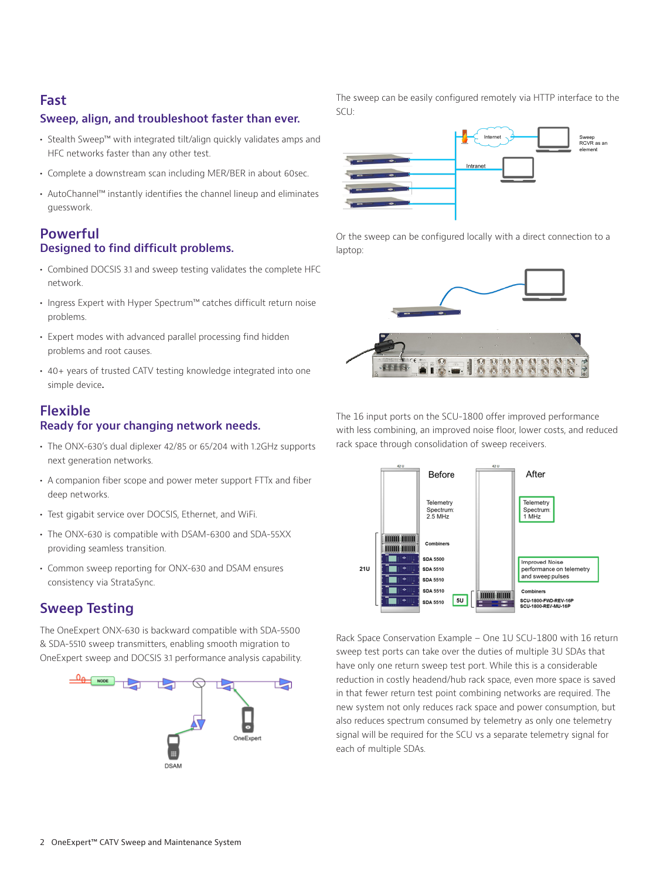### **Fast**

#### **Sweep, align, and troubleshoot faster than ever.**

- **•** Stealth Sweep™ with integrated tilt/align quickly validates amps and HFC networks faster than any other test.
- **•** Complete a downstream scan including MER/BER in about 60sec.
- **•** AutoChannel™ instantly identifies the channel lineup and eliminates guesswork.

#### **Powerful Designed to find difficult problems.**

- **•** Combined DOCSIS 3.1 and sweep testing validates the complete HFC network.
- **•** Ingress Expert with Hyper Spectrum™ catches difficult return noise problems.
- **•** Expert modes with advanced parallel processing find hidden problems and root causes.
- **•** 40+ years of trusted CATV testing knowledge integrated into one simple device**.**

### **Flexible Ready for your changing network needs.**

- **•** The ONX-630's dual diplexer 42/85 or 65/204 with 1.2GHz supports next generation networks.
- **•** A companion fiber scope and power meter support FTTx and fiber deep networks.
- **•** Test gigabit service over DOCSIS, Ethernet, and WiFi.
- **•** The ONX-630 is compatible with DSAM-6300 and SDA-55XX providing seamless transition.
- **•** Common sweep reporting for ONX-630 and DSAM ensures consistency via StrataSync.

## **Sweep Testing**

The OneExpert ONX-630 is backward compatible with SDA-5500 & SDA-5510 sweep transmitters, enabling smooth migration to OneExpert sweep and DOCSIS 3.1 performance analysis capability.



The sweep can be easily configured remotely via HTTP interface to the SCU:



Or the sweep can be configured locally with a direct connection to a laptop:



The 16 input ports on the SCU-1800 offer improved performance with less combining, an improved noise floor, lower costs, and reduced rack space through consolidation of sweep receivers.



Rack Space Conservation Example – One 1U SCU-1800 with 16 return sweep test ports can take over the duties of multiple 3U SDAs that have only one return sweep test port. While this is a considerable reduction in costly headend/hub rack space, even more space is saved in that fewer return test point combining networks are required. The new system not only reduces rack space and power consumption, but also reduces spectrum consumed by telemetry as only one telemetry signal will be required for the SCU vs a separate telemetry signal for each of multiple SDAs.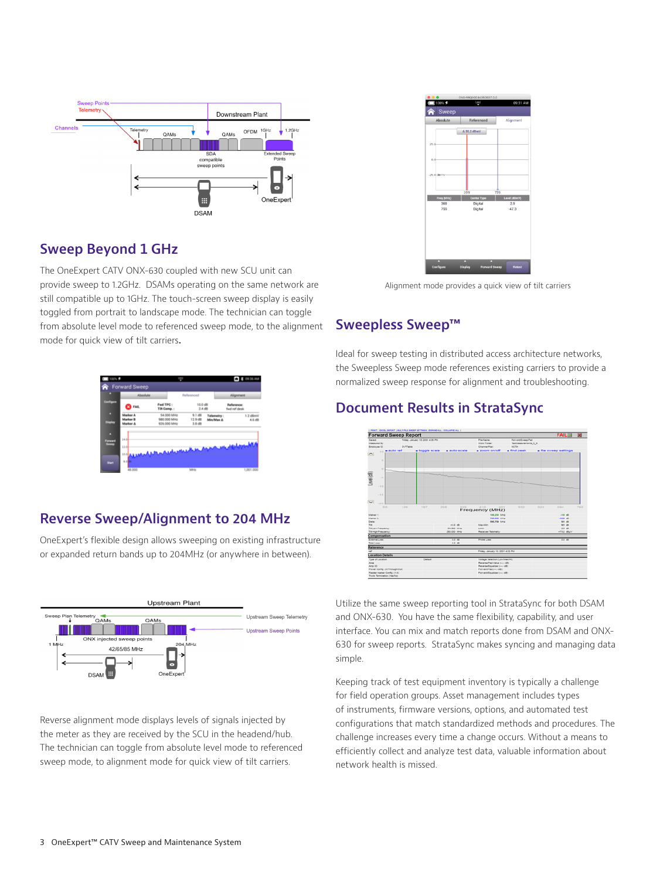

## **Sweep Beyond 1 GHz**

The OneExpert CATV ONX-630 coupled with new SCU unit can provide sweep to 1.2GHz. DSAMs operating on the same network are still compatible up to 1GHz. The touch-screen sweep display is easily toggled from portrait to landscape mode. The technician can toggle from absolute level mode to referenced sweep mode, to the alignment mode for quick view of tilt carriers**.**

| Absolute                                 |                                           | Referenced                 |                         | <b>Alignment</b>           |                    |
|------------------------------------------|-------------------------------------------|----------------------------|-------------------------|----------------------------|--------------------|
| <b>EQ</b> FAIL                           | Fwd TPC:<br>Tilt Comp.:                   | 10.0 dB<br>$2.4$ dB        |                         | Reference:<br>hvd ref desk |                    |
| Marker A<br><b>Marker B</b><br>Marker A. | 54.000 MHz<br>\$80,000 MHz<br>936.000 MHz | 9.168<br>12.9 dB<br>3.8 dB | Telemetry:<br>Min/Max A |                            | 1.2 dBmV<br>4.6 dB |
| 14.0<br>Forward                          |                                           |                            |                         |                            |                    |
| 12.0<br>38.0                             | بالماهد بالبريان ورود                     | $\overline{\phantom{a}}$   |                         |                            |                    |

## **Reverse Sweep/Alignment to 204 MHz**

OneExpert's flexible design allows sweeping on existing infrastructure or expanded return bands up to 204MHz (or anywhere in between).



Reverse alignment mode displays levels of signals injected by the meter as they are received by the SCU in the headend/hub. The technician can toggle from absolute level mode to referenced sweep mode, to alignment mode for quick view of tilt carriers.



Alignment mode provides a quick view of tilt carriers

## **Sweepless Sweep™**

Ideal for sweep testing in distributed access architecture networks, the Sweepless Sweep mode references existing carriers to provide a normalized sweep response for alignment and troubleshooting.

## **Document Results in StrataSync**



Utilize the same sweep reporting tool in StrataSync for both DSAM and ONX-630. You have the same flexibility, capability, and user interface. You can mix and match reports done from DSAM and ONX-630 for sweep reports. StrataSync makes syncing and managing data simple.

Keeping track of test equipment inventory is typically a challenge for field operation groups. Asset management includes types of instruments, firmware versions, options, and automated test configurations that match standardized methods and procedures. The challenge increases every time a change occurs. Without a means to efficiently collect and analyze test data, valuable information about network health is missed.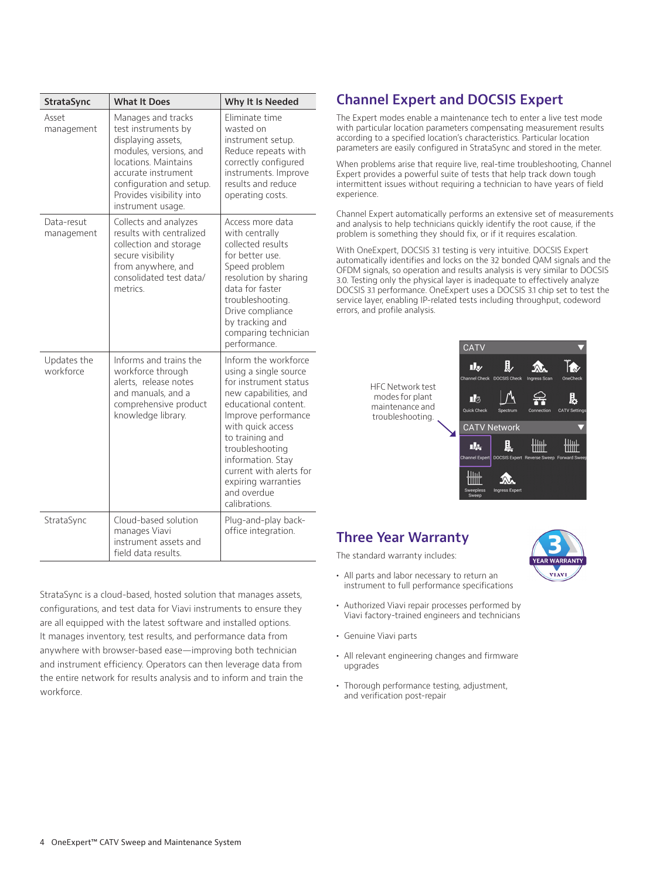| <b>StrataSync</b>        | <b>What It Does</b>                                                                                                                                                                                                   | Why It Is Needed                                                                                                                                                                                                                                                                                                 |
|--------------------------|-----------------------------------------------------------------------------------------------------------------------------------------------------------------------------------------------------------------------|------------------------------------------------------------------------------------------------------------------------------------------------------------------------------------------------------------------------------------------------------------------------------------------------------------------|
| Asset<br>management      | Manages and tracks<br>test instruments by<br>displaying assets,<br>modules, versions, and<br>locations. Maintains<br>accurate instrument<br>configuration and setup.<br>Provides visibility into<br>instrument usage. | Eliminate time<br>wasted on<br>instrument setup.<br>Reduce repeats with<br>correctly configured<br>instruments. Improve<br>results and reduce<br>operating costs.                                                                                                                                                |
| Data-resut<br>management | Collects and analyzes<br>results with centralized<br>collection and storage<br>secure visibility<br>from anywhere, and<br>consolidated test data/<br>metrics.                                                         | Access more data<br>with centrally<br>collected results<br>for better use.<br>Speed problem<br>resolution by sharing<br>data for faster<br>troubleshooting.<br>Drive compliance<br>by tracking and<br>comparing technician<br>performance.                                                                       |
| Updates the<br>workforce | Informs and trains the<br>workforce through<br>alerts, release notes<br>and manuals, and a<br>comprehensive product<br>knowledge library.                                                                             | Inform the workforce<br>using a single source<br>for instrument status<br>new capabilities, and<br>educational content.<br>Improve performance<br>with quick access<br>to training and<br>troubleshooting<br>information. Stay<br>current with alerts for<br>expiring warranties<br>and overdue<br>calibrations. |
| StrataSync               | Cloud-based solution<br>manages Viavi<br>instrument assets and<br>field data results.                                                                                                                                 | Plug-and-play back-<br>office integration.                                                                                                                                                                                                                                                                       |

StrataSync is a cloud-based, hosted solution that manages assets, configurations, and test data for Viavi instruments to ensure they are all equipped with the latest software and installed options. It manages inventory, test results, and performance data from anywhere with browser-based ease—improving both technician and instrument efficiency. Operators can then leverage data from the entire network for results analysis and to inform and train the workforce.

# **Channel Expert and DOCSIS Expert**

The Expert modes enable a maintenance tech to enter a live test mode with particular location parameters compensating measurement results according to a specified location's characteristics. Particular location parameters are easily configured in StrataSync and stored in the meter.

When problems arise that require live, real-time troubleshooting, Channel Expert provides a powerful suite of tests that help track down tough intermittent issues without requiring a technician to have years of field experience.

Channel Expert automatically performs an extensive set of measurements and analysis to help technicians quickly identify the root cause, if the problem is something they should fix, or if it requires escalation.

With OneExpert, DOCSIS 3.1 testing is very intuitive. DOCSIS Expert automatically identifies and locks on the 32 bonded QAM signals and the OFDM signals, so operation and results analysis is very similar to DOCSIS 3.0. Testing only the physical layer is inadequate to effectively analyze DOCSIS 3.1 performance. OneExpert uses a DOCSIS 3.1 chip set to test the service layer, enabling IP-related tests including throughput, codeword errors, and profile analysis.

> HFC Network test modes for plant maintenance and troubleshooting.



## **Three Year Warranty**

The standard warranty includes:

- **•** All parts and labor necessary to return an instrument to full performance specifications
- **•** Authorized Viavi repair processes performed by Viavi factory-trained engineers and technicians
- **•** Genuine Viavi parts
- **•** All relevant engineering changes and firmware upgrades
- **•** Thorough performance testing, adjustment, and verification post-repair

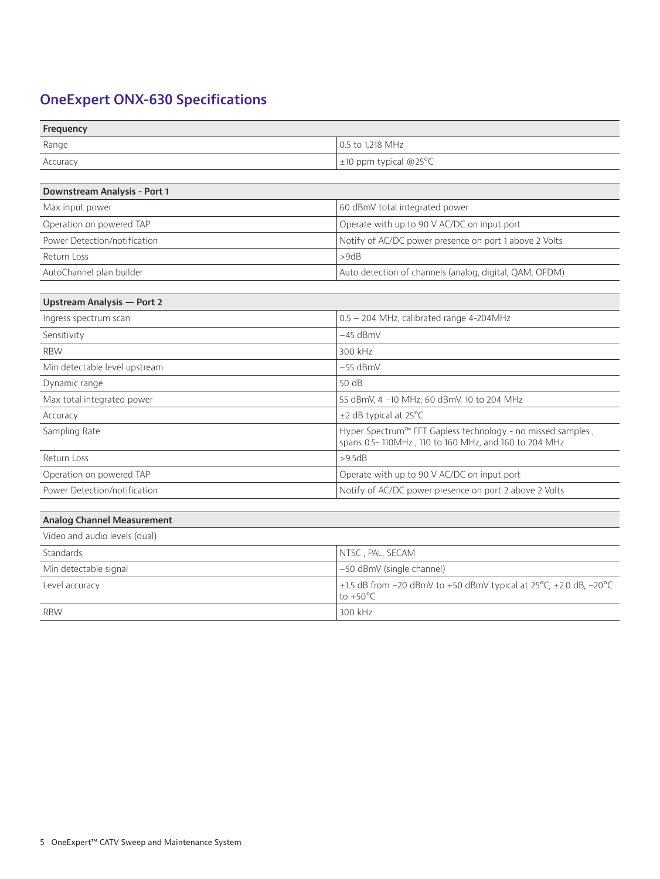# **OneExpert ONX-630 Specifications**

| Frequency |                            |
|-----------|----------------------------|
| Range     | 0.5 to 1,218 MHz           |
| Accuracy  | $\pm$ 10 ppm typical @25°C |
|           |                            |

| Downstream Analysis - Port 1 |                                                         |
|------------------------------|---------------------------------------------------------|
| Max input power              | 60 dBmV total integrated power                          |
| Operation on powered TAP     | Operate with up to 90 V AC/DC on input port             |
| Power Detection/notification | Notify of AC/DC power presence on port 1 above 2 Volts  |
| Return Loss                  | >9dB                                                    |
| AutoChannel plan builder     | Auto detection of channels (analog, digital, QAM, OFDM) |

| Upstream Analysis - Port 2    |                                                                                                                     |
|-------------------------------|---------------------------------------------------------------------------------------------------------------------|
| Ingress spectrum scan         | $0.5 - 204$ MHz, calibrated range 4-204MHz                                                                          |
| Sensitivity                   | $-45$ dBmV                                                                                                          |
| <b>RBW</b>                    | 300 kHz                                                                                                             |
| Min detectable level upstream | $-55$ dBmV                                                                                                          |
| Dynamic range                 | 50 dB                                                                                                               |
| Max total integrated power    | 55 dBmV, 4 -10 MHz, 60 dBmV, 10 to 204 MHz                                                                          |
| Accuracy                      | $\pm$ 2 dB typical at 25 $\degree$ C                                                                                |
| Sampling Rate                 | Hyper Spectrum™ FFT Gapless technology - no missed samples,<br>spans 0.5-110MHz, 110 to 160 MHz, and 160 to 204 MHz |
| Return Loss                   | >9.5dB                                                                                                              |
| Operation on powered TAP      | Operate with up to 90 V AC/DC on input port                                                                         |
| Power Detection/notification  | Notify of AC/DC power presence on port 2 above 2 Volts                                                              |

#### **Analog Channel Measurement**

| Video and audio levels (dual) |                                                                                                  |
|-------------------------------|--------------------------------------------------------------------------------------------------|
| Standards                     | NTSC , PAL, SECAM                                                                                |
| Min detectable signal         | -50 dBmV (single channel)                                                                        |
| Level accuracy                | $\pm$ 1.5 dB from -20 dBmV to +50 dBmV typical at 25°C; $\pm$ 2.0 dB, -20°C<br>$to +50^{\circ}C$ |
| <b>RBW</b>                    | 300 kHz                                                                                          |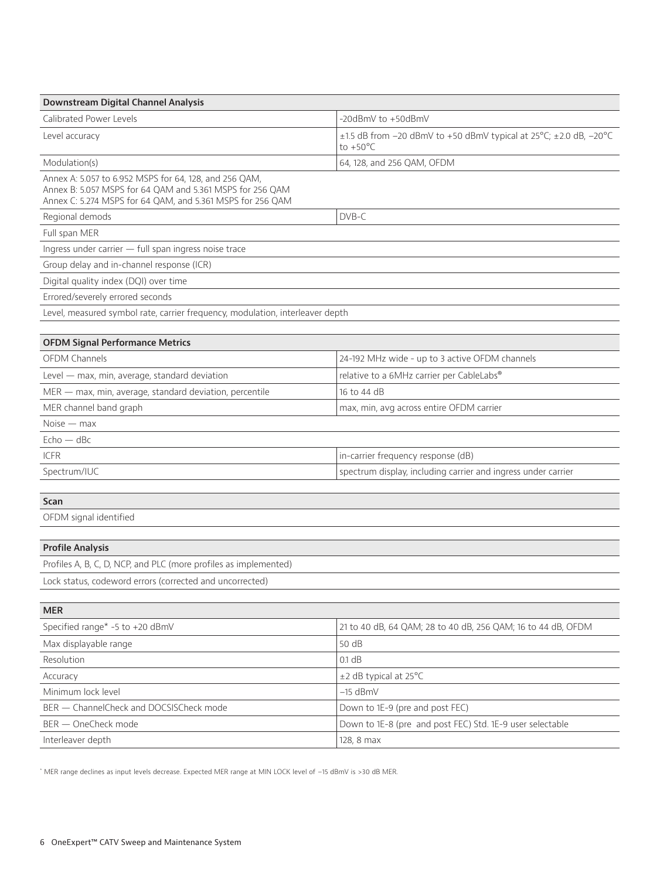| Downstream Digital Channel Analysis                                                                                                                                               |                                                                                                   |
|-----------------------------------------------------------------------------------------------------------------------------------------------------------------------------------|---------------------------------------------------------------------------------------------------|
| Calibrated Power Levels                                                                                                                                                           | $-20dBmV$ to $+50dBmV$                                                                            |
| Level accuracy                                                                                                                                                                    | $\pm$ 1.5 dB from -20 dBmV to +50 dBmV typical at 25°C; $\pm$ 2.0 dB, -20°C<br>to $+50^{\circ}$ C |
| Modulation(s)                                                                                                                                                                     | 64, 128, and 256 QAM, OFDM                                                                        |
| Annex A: 5.057 to 6.952 MSPS for 64, 128, and 256 QAM,<br>Annex B: 5.057 MSPS for 64 QAM and 5.361 MSPS for 256 QAM<br>Annex C: 5.274 MSPS for 64 QAM, and 5.361 MSPS for 256 QAM |                                                                                                   |
| Regional demods                                                                                                                                                                   | DVB-C                                                                                             |
| Full span MER                                                                                                                                                                     |                                                                                                   |
| Ingress under carrier - full span ingress noise trace                                                                                                                             |                                                                                                   |
| Group delay and in-channel response (ICR)                                                                                                                                         |                                                                                                   |
| Digital quality index (DQI) over time                                                                                                                                             |                                                                                                   |
| Errored/severely errored seconds                                                                                                                                                  |                                                                                                   |
| Level, measured symbol rate, carrier frequency, modulation, interleaver depth                                                                                                     |                                                                                                   |
|                                                                                                                                                                                   |                                                                                                   |
| <b>OFDM Signal Performance Metrics</b>                                                                                                                                            |                                                                                                   |
| <b>OFDM Channels</b>                                                                                                                                                              | 24-192 MHz wide - up to 3 active OFDM channels                                                    |
| Level - max, min, average, standard deviation                                                                                                                                     | relative to a 6MHz carrier per CableLabs®                                                         |
| MER - max, min, average, standard deviation, percentile                                                                                                                           | 16 to 44 dB                                                                                       |
| MER channel band graph                                                                                                                                                            | max, min, avg across entire OFDM carrier                                                          |
| $Noise - max$                                                                                                                                                                     |                                                                                                   |
| $Echo - dBc$                                                                                                                                                                      |                                                                                                   |
| <b>ICFR</b>                                                                                                                                                                       | in-carrier frequency response (dB)                                                                |
| Spectrum/IUC                                                                                                                                                                      | spectrum display, including carrier and ingress under carrier                                     |
|                                                                                                                                                                                   |                                                                                                   |
| Scan                                                                                                                                                                              |                                                                                                   |
| OFDM signal identified                                                                                                                                                            |                                                                                                   |
|                                                                                                                                                                                   |                                                                                                   |
| <b>Profile Analysis</b>                                                                                                                                                           |                                                                                                   |
| Profiles A, B, C, D, NCP, and PLC (more profiles as implemented)                                                                                                                  |                                                                                                   |
| Lock status, codeword errors (corrected and uncorrected)                                                                                                                          |                                                                                                   |
|                                                                                                                                                                                   |                                                                                                   |
| <b>MER</b>                                                                                                                                                                        |                                                                                                   |
| Specified range* -5 to +20 dBmV                                                                                                                                                   | 21 to 40 dB, 64 QAM; 28 to 40 dB, 256 QAM; 16 to 44 dB, OFDM                                      |
| Max displayable range                                                                                                                                                             | 50 dB                                                                                             |
| Resolution                                                                                                                                                                        | 0.1 dB                                                                                            |
| Accuracy                                                                                                                                                                          | ±2 dB typical at 25°C                                                                             |
| Minimum lock level                                                                                                                                                                | $-15$ dBmV                                                                                        |
| BER - ChannelCheck and DOCSISCheck mode                                                                                                                                           | Down to 1E-9 (pre and post FEC)                                                                   |
| BER - OneCheck mode                                                                                                                                                               | Down to 1E-8 (pre and post FEC) Std. 1E-9 user selectable                                         |
| Interleaver depth                                                                                                                                                                 | 128, 8 max                                                                                        |

\* MER range declines as input levels decrease. Expected MER range at MIN LOCK level of –15 dBmV is >30 dB MER.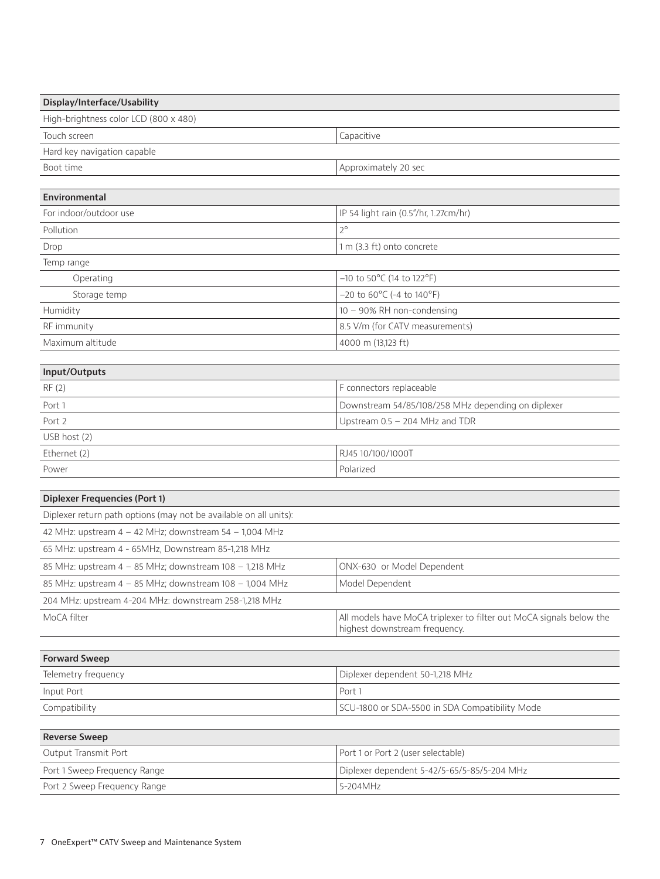| Display/Interface/Usability                                       |                                                                                                      |  |
|-------------------------------------------------------------------|------------------------------------------------------------------------------------------------------|--|
| High-brightness color LCD (800 x 480)                             |                                                                                                      |  |
| Touch screen                                                      | Capacitive                                                                                           |  |
| Hard key navigation capable                                       |                                                                                                      |  |
| Boot time                                                         | Approximately 20 sec                                                                                 |  |
|                                                                   |                                                                                                      |  |
| Environmental                                                     |                                                                                                      |  |
| For indoor/outdoor use                                            | IP 54 light rain (0.5"/hr, 1.27cm/hr)                                                                |  |
| Pollution                                                         | $2^{\circ}$                                                                                          |  |
| Drop                                                              | 1 m (3.3 ft) onto concrete                                                                           |  |
| Temp range                                                        |                                                                                                      |  |
| Operating                                                         | $-10$ to $50^{\circ}$ C (14 to $122^{\circ}$ F)                                                      |  |
| Storage temp                                                      | $-20$ to $60^{\circ}$ C (-4 to $140^{\circ}$ F)                                                      |  |
| Humidity                                                          | 10 - 90% RH non-condensing                                                                           |  |
| RF immunity                                                       | 8.5 V/m (for CATV measurements)                                                                      |  |
| Maximum altitude                                                  | 4000 m (13,123 ft)                                                                                   |  |
| Input/Outputs                                                     |                                                                                                      |  |
| RF(2)                                                             | F connectors replaceable                                                                             |  |
| Port 1                                                            | Downstream 54/85/108/258 MHz depending on diplexer                                                   |  |
| Port 2                                                            | Upstream 0.5 - 204 MHz and TDR                                                                       |  |
| USB host (2)                                                      |                                                                                                      |  |
| Ethernet (2)                                                      | RJ45 10/100/1000T                                                                                    |  |
| Power                                                             | Polarized                                                                                            |  |
|                                                                   |                                                                                                      |  |
| <b>Diplexer Frequencies (Port 1)</b>                              |                                                                                                      |  |
| Diplexer return path options (may not be available on all units): |                                                                                                      |  |
| 42 MHz: upstream $4 - 42$ MHz; downstream $54 - 1,004$ MHz        |                                                                                                      |  |
| 65 MHz: upstream 4 - 65MHz, Downstream 85-1,218 MHz               |                                                                                                      |  |
| 85 MHz: upstream 4 - 85 MHz; downstream 108 - 1,218 MHz           | ONX-630 or Model Dependent                                                                           |  |
| 85 MHz: upstream 4 - 85 MHz; downstream 108 - 1,004 MHz           | Model Dependent                                                                                      |  |
| 204 MHz: upstream 4-204 MHz: downstream 258-1,218 MHz             |                                                                                                      |  |
| MoCA filter                                                       | All models have MoCA triplexer to filter out MoCA signals below the<br>highest downstream frequency. |  |
|                                                                   |                                                                                                      |  |
| <b>Forward Sweep</b>                                              |                                                                                                      |  |
| Telemetry frequency                                               | Diplexer dependent 50-1,218 MHz                                                                      |  |
| Input Port                                                        | Port 1                                                                                               |  |
| Compatibility                                                     | SCU-1800 or SDA-5500 in SDA Compatibility Mode                                                       |  |
|                                                                   |                                                                                                      |  |
| <b>Reverse Sweep</b>                                              |                                                                                                      |  |
| Output Transmit Port                                              | Port 1 or Port 2 (user selectable)                                                                   |  |
| Port 1 Sweep Frequency Range                                      | Diplexer dependent 5-42/5-65/5-85/5-204 MHz                                                          |  |
| Port 2 Sweep Frequency Range                                      | 5-204MHz                                                                                             |  |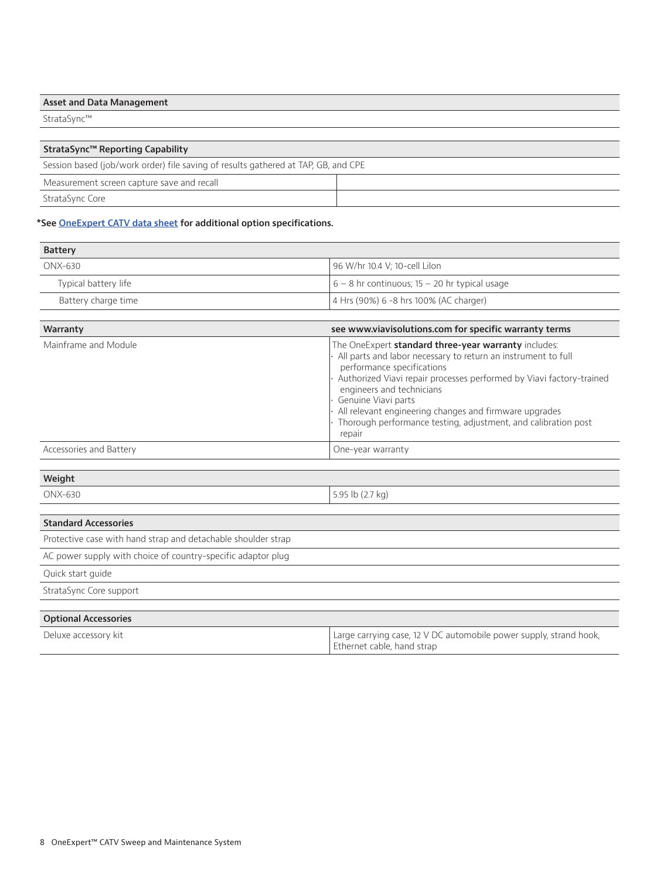| <b>Asset and Data Management</b> |
|----------------------------------|
| StrataSync™                      |
|                                  |
| StrataSync™ Reporting Capability |

| Session based (job/work order) file saving of results gathered at TAP, GB, and CPE |  |  |
|------------------------------------------------------------------------------------|--|--|
| Measurement screen capture save and recall                                         |  |  |
| StrataSync Core                                                                    |  |  |

#### **\*See OneExpert CATV data sheet for additional option specifications.**

| <b>Battery</b>       |                                                 |
|----------------------|-------------------------------------------------|
| ONX-630              | 96 W/hr 10.4 V; 10-cell Lilon                   |
| Typical battery life | $6 - 8$ hr continuous; 15 - 20 hr typical usage |
| Battery charge time  | $\vert$ 4 Hrs (90%) 6 -8 hrs 100% (AC charger)  |

| Warranty                | see www.viavisolutions.com for specific warranty terms                                                                                                                                                                                                                                                                                                                                                                |
|-------------------------|-----------------------------------------------------------------------------------------------------------------------------------------------------------------------------------------------------------------------------------------------------------------------------------------------------------------------------------------------------------------------------------------------------------------------|
| Mainframe and Module    | The OneExpert standard three-year warranty includes:<br>All parts and labor necessary to return an instrument to full<br>performance specifications<br>Authorized Viavi repair processes performed by Viavi factory-trained<br>engineers and technicians<br>Genuine Viavi parts<br>All relevant engineering changes and firmware upgrades<br>Thorough performance testing, adjustment, and calibration post<br>repair |
| Accessories and Battery | One-year warranty                                                                                                                                                                                                                                                                                                                                                                                                     |

#### **Weight**

ONX-630 5.95 lb (2.7 kg)

#### **Standard Accessories**

Protective case with hand strap and detachable shoulder strap

AC power supply with choice of country-specific adaptor plug

Quick start guide

StrataSync Core support

| <b>Optional Accessories</b> |                                                                    |
|-----------------------------|--------------------------------------------------------------------|
| Deluxe accessory kit        | Large carrying case, 12 V DC automobile power supply, strand hook, |
|                             | Ethernet cable, hand strap                                         |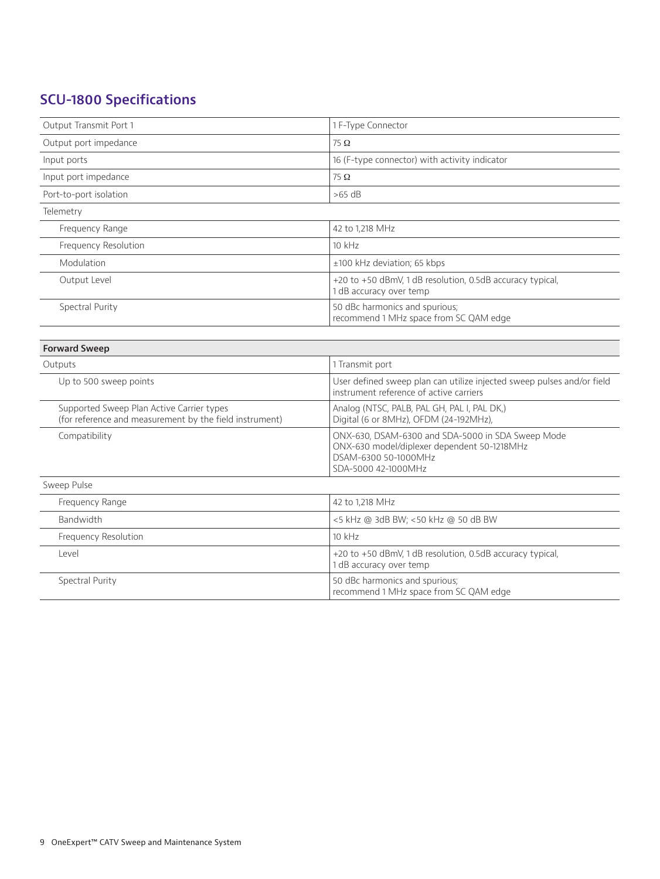# **SCU-1800 Specifications**

| Output Transmit Port 1                                                                               | 1 F-Type Connector                                                                                                                              |
|------------------------------------------------------------------------------------------------------|-------------------------------------------------------------------------------------------------------------------------------------------------|
| Output port impedance                                                                                | $75\ \Omega$                                                                                                                                    |
| Input ports                                                                                          | 16 (F-type connector) with activity indicator                                                                                                   |
| Input port impedance                                                                                 | $75\ \Omega$                                                                                                                                    |
| Port-to-port isolation                                                                               | $>65$ dB                                                                                                                                        |
| Telemetry                                                                                            |                                                                                                                                                 |
| Frequency Range                                                                                      | 42 to 1,218 MHz                                                                                                                                 |
| Frequency Resolution                                                                                 | 10 kHz                                                                                                                                          |
| Modulation                                                                                           | ±100 kHz deviation; 65 kbps                                                                                                                     |
| Output Level                                                                                         | +20 to +50 dBmV, 1 dB resolution, 0.5dB accuracy typical,<br>1 dB accuracy over temp                                                            |
| Spectral Purity                                                                                      | 50 dBc harmonics and spurious;<br>recommend 1 MHz space from SC QAM edge                                                                        |
|                                                                                                      |                                                                                                                                                 |
| <b>Forward Sweep</b>                                                                                 |                                                                                                                                                 |
| Outputs                                                                                              | 1 Transmit port                                                                                                                                 |
| Up to 500 sweep points                                                                               | User defined sweep plan can utilize injected sweep pulses and/or field<br>instrument reference of active carriers                               |
| Supported Sweep Plan Active Carrier types<br>(for reference and measurement by the field instrument) | Analog (NTSC, PALB, PAL GH, PAL I, PAL DK,)<br>Digital (6 or 8MHz), OFDM (24-192MHz),                                                           |
| Compatibility                                                                                        | ONX-630, DSAM-6300 and SDA-5000 in SDA Sweep Mode<br>ONX-630 model/diplexer dependent 50-1218MHz<br>DSAM-6300 50-1000MHz<br>SDA-5000 42-1000MHz |
| Sweep Pulse                                                                                          |                                                                                                                                                 |
| Frequency Range                                                                                      | 42 to 1,218 MHz                                                                                                                                 |
| Bandwidth                                                                                            | <5 kHz @ 3dB BW; <50 kHz @ 50 dB BW                                                                                                             |
| Frequency Resolution                                                                                 | 10 kHz                                                                                                                                          |
| Level                                                                                                | +20 to +50 dBmV, 1 dB resolution, 0.5dB accuracy typical,<br>1 dB accuracy over temp                                                            |
| Spectral Purity                                                                                      | 50 dBc harmonics and spurious;<br>recommend 1 MHz space from SC QAM edge                                                                        |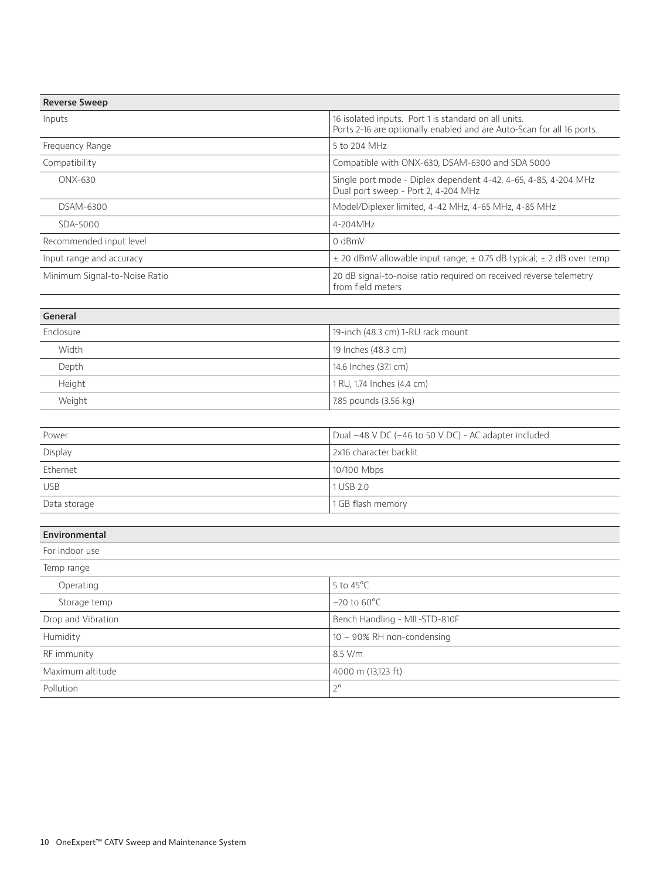| <b>Reverse Sweep</b>          |                                                                                                                               |
|-------------------------------|-------------------------------------------------------------------------------------------------------------------------------|
| Inputs                        | 16 isolated inputs. Port 1 is standard on all units.<br>Ports 2-16 are optionally enabled and are Auto-Scan for all 16 ports. |
| Frequency Range               | 5 to 204 MHz                                                                                                                  |
| Compatibility                 | Compatible with ONX-630, DSAM-6300 and SDA 5000                                                                               |
| ONX-630                       | Single port mode - Diplex dependent 4-42, 4-65, 4-85, 4-204 MHz<br>Dual port sweep - Port 2, 4-204 MHz                        |
| DSAM-6300                     | Model/Diplexer limited, 4-42 MHz, 4-65 MHz, 4-85 MHz                                                                          |
| SDA-5000                      | 4-204MHz                                                                                                                      |
| Recommended input level       | 0 dBmV                                                                                                                        |
| Input range and accuracy      | ± 20 dBmV allowable input range; ± 0.75 dB typical; ± 2 dB over temp                                                          |
| Minimum Signal-to-Noise Ratio | 20 dB signal-to-noise ratio required on received reverse telemetry<br>from field meters                                       |
|                               |                                                                                                                               |
| General                       |                                                                                                                               |
| Enclosure                     | 19-inch (48.3 cm) 1-RU rack mount                                                                                             |
| Width                         | 19 Inches (48.3 cm)                                                                                                           |
| Depth                         | 14.6 Inches (37.1 cm)                                                                                                         |
| Height                        | 1 RU, 1.74 Inches (4.4 cm)                                                                                                    |
| Weight                        | 7.85 pounds (3.56 kg)                                                                                                         |
|                               |                                                                                                                               |
| Power                         | Dual -48 V DC (-46 to 50 V DC) - AC adapter included                                                                          |
| Display                       | 2x16 character backlit                                                                                                        |
| Ethernet                      | 10/100 Mbps                                                                                                                   |
| <b>USB</b>                    | 1 USB 2.0                                                                                                                     |
| Data storage                  | 1 GB flash memory                                                                                                             |
|                               |                                                                                                                               |
| Environmental                 |                                                                                                                               |
| For indoor use                |                                                                                                                               |
| Temp range                    |                                                                                                                               |
| Operating                     | 5 to 45°C                                                                                                                     |
| Storage temp                  | $-20$ to $60^{\circ}$ C                                                                                                       |
| Drop and Vibration            | Bench Handling - MIL-STD-810F                                                                                                 |
| Humidity                      | 10 - 90% RH non-condensing                                                                                                    |
| RF immunity                   | 8.5 V/m                                                                                                                       |
| Maximum altitude              | 4000 m (13,123 ft)                                                                                                            |
| Pollution                     | $2^{\circ}$                                                                                                                   |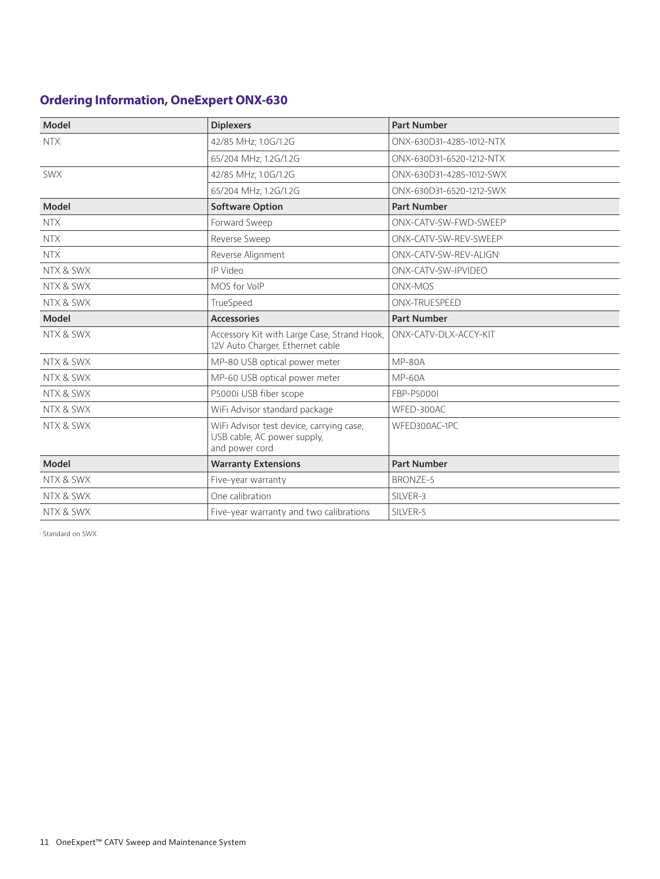## **Ordering Information, OneExpert ONX-630**

| Model      | <b>Diplexers</b>                                                                          | <b>Part Number</b>                 |
|------------|-------------------------------------------------------------------------------------------|------------------------------------|
| <b>NTX</b> | 42/85 MHz; 1.0G/1.2G                                                                      | ONX-630D31-4285-1012-NTX           |
|            | 65/204 MHz; 1.2G/1.2G                                                                     | ONX-630D31-6520-1212-NTX           |
| <b>SWX</b> | 42/85 MHz; 1.0G/1.2G                                                                      | ONX-630D31-4285-1012-SWX           |
|            | 65/204 MHz; 1.2G/1.2G                                                                     | ONX-630D31-6520-1212-SWX           |
| Model      | <b>Software Option</b>                                                                    | <b>Part Number</b>                 |
| <b>NTX</b> | Forward Sweep                                                                             | ONX-CATV-SW-FWD-SWEEP              |
| <b>NTX</b> | Reverse Sweep                                                                             | ONX-CATV-SW-REV-SWEEP              |
| <b>NTX</b> | Reverse Alignment                                                                         | ONX-CATV-SW-REV-ALIGN <sup>®</sup> |
| NTX & SWX  | IP Video                                                                                  | ONX-CATV-SW-IPVIDEO                |
| NTX & SWX  | MOS for VoIP                                                                              | ONX-MOS                            |
| NTX & SWX  | TrueSpeed                                                                                 | ONX-TRUESPEED                      |
| Model      | <b>Accessories</b>                                                                        | <b>Part Number</b>                 |
| NTX & SWX  | Accessory Kit with Large Case, Strand Hook,<br>12V Auto Charger, Ethernet cable           | ONX-CATV-DLX-ACCY-KIT              |
| NTX & SWX  | MP-80 USB optical power meter                                                             | <b>MP-80A</b>                      |
| NTX & SWX  | MP-60 USB optical power meter                                                             | <b>MP-60A</b>                      |
| NTX & SWX  | P5000i USB fiber scope                                                                    | FBP-P5000I                         |
| NTX & SWX  | WiFi Advisor standard package                                                             | WFED-300AC                         |
| NTX & SWX  | WiFi Advisor test device, carrying case,<br>USB cable, AC power supply,<br>and power cord | WFED300AC-1PC                      |
| Model      | <b>Warranty Extensions</b>                                                                | <b>Part Number</b>                 |
| NTX & SWX  | Five-year warranty                                                                        | <b>BRONZE-5</b>                    |
| NTX & SWX  | One calibration                                                                           | SILVER-3                           |
| NTX & SWX  | Five-year warranty and two calibrations                                                   | SILVER-5                           |

i Standard on SWX